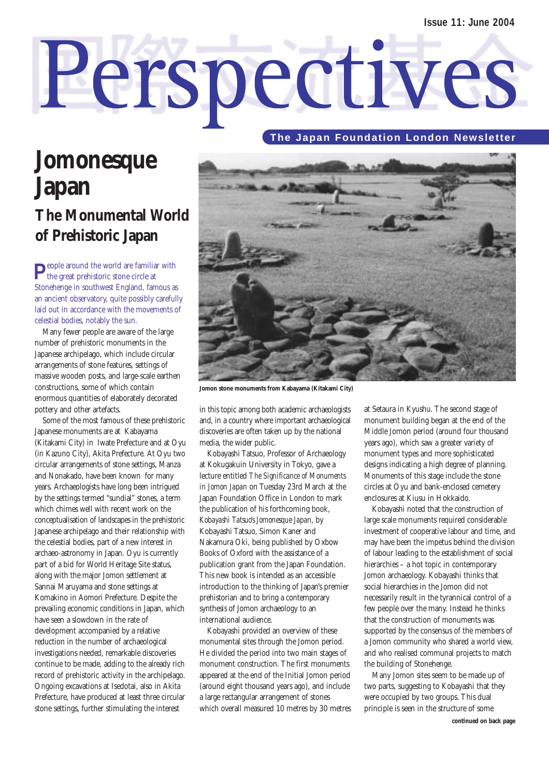# Perspectives

### **The Japan Foundation London Newsletter**

# **Jomonesque Japan The Monumental World of Prehistoric Japan**

**P**eople around the world are familiar with the great prehistoric stone circle at Stonehenge in southwest England, famous as an ancient observatory, quite possibly carefully laid out in accordance with the movements of celestial bodies, notably the sun.

Many fewer people are aware of the large number of prehistoric monuments in the Japanese archipelago, which include circular arrangements of stone features, settings of massive wooden posts, and large-scale earthen constructions, some of which contain enormous quantities of elaborately decorated pottery and other artefacts.

Some of the most famous of these prehistoric Japanese monuments are at Kabayama (Kitakami City) in Iwate Prefecture and at Oyu (in Kazuno City), Akita Prefecture. At Oyu two circular arrangements of stone settings, Manza and Nonakado, have been known for many years. Archaeologists have long been intrigued by the settings termed "sundial" stones, a term which chimes well with recent work on the conceptualisation of landscapes in the prehistoric Japanese archipelago and their relationship with the celestial bodies, part of a new interest in archaeo-astronomy in Japan. Oyu is currently part of a bid for World Heritage Site status, along with the major Jomon settlement at Sannai Maruyama and stone settings at Komakino in Aomori Prefecture. Despite the prevailing economic conditions in Japan, which have seen a slowdown in the rate of development accompanied by a relative reduction in the number of archaeological investigations needed, remarkable discoveries continue to be made, adding to the already rich record of prehistoric activity in the archipelago. Ongoing excavations at Isedotai, also in Akita Prefecture, have produced at least three circular stone settings, further stimulating the interest



**Jomon stone monuments from Kabayama (Kitakami City)**

in this topic among both academic archaeologists and, in a country where important archaeological discoveries are often taken up by the national media, the wider public.

Kobayashi Tatsuo, Professor of Archaeology at Kokugakuin University in Tokyo, gave a lecture entitled *The Significance of Monuments in Jomon Japan* on Tuesday 23rd March at the Japan Foundation Office in London to mark the publication of his forthcoming book, *Kobayashi Tatsuo's Jomonesque Japan*, by Kobayashi Tatsuo, Simon Kaner and Nakamura Oki, being published by Oxbow Books of Oxford with the assistance of a publication grant from the Japan Foundation. This new book is intended as an accessible introduction to the thinking of Japan's premier prehistorian and to bring a contemporary synthesis of Jomon archaeology to an international audience.

Kobayashi provided an overview of these monumental sites through the Jomon period. He divided the period into two main stages of monument construction. The first monuments appeared at the end of the Initial Jomon period (around eight thousand years ago), and include a large rectangular arrangement of stones which overall measured 10 metres by 30 metres at Setaura in Kyushu. The second stage of monument building began at the end of the Middle Jomon period (around four thousand years ago), which saw a greater variety of monument types and more sophisticated designs indicating a high degree of planning. Monuments of this stage include the stone circles at Oyu and bank-enclosed cemetery enclosures at Kiusu in Hokkaido.

Kobayashi noted that the construction of large scale monuments required considerable investment of cooperative labour and time, and may have been the impetus behind the division of labour leading to the establishment of social hierarchies – a hot topic in contemporary Jomon archaeology. Kobayashi thinks that social hierarchies in the Jomon did not necessarily result in the tyrannical control of a few people over the many. Instead he thinks that the construction of monuments was supported by the consensus of the members of a Jomon community who shared a world view, and who realised communal projects to match the building of Stonehenge.

Many Jomon sites seem to be made up of two parts, suggesting to Kobayashi that they were occupied by two groups. This dual principle is seen in the structure of some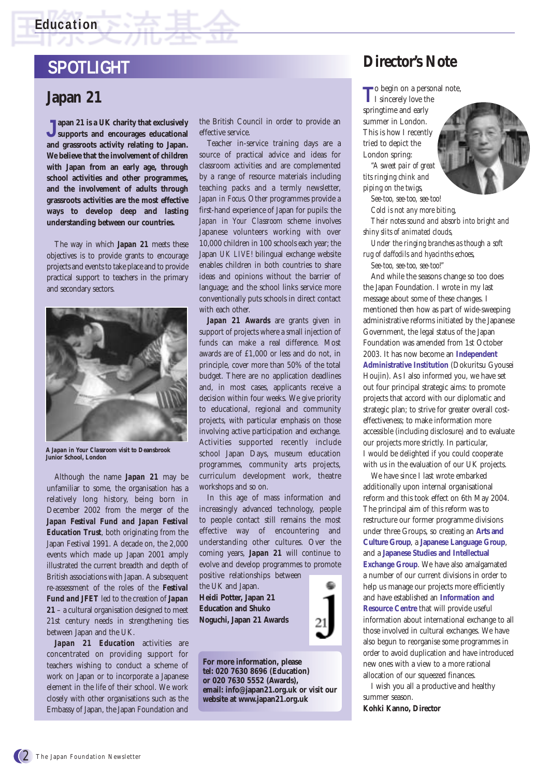## **Education**

# **SPOTLIGHT**

## **Japan 21**

**Japan 21 is a UK charity that exclusively supports and encourages educational and grassroots activity relating to Japan. We believe that the involvement of children with Japan from an early age, through school activities and other programmes, and the involvement of adults through grassroots activities are the most effective ways to develop deep and lasting understanding between our countries.** 

The way in which *Japan 21* meets these objectives is to provide grants to encourage projects and events to take place and to provide practical support to teachers in the primary and secondary sectors.



**A** *Japan in Your Classroom* **visit to Deansbrook Junior School, London**

Although the name *Japan 21* may be unfamiliar to some, the organisation has a relatively long history, being born in December 2002 from the merger of the *Japan Festival Fund and Japan Festival Education Trust*, both originating from the Japan Festival 1991. A decade on, the 2,000 events which made up Japan 2001 amply illustrated the current breadth and depth of British associations with Japan. A subsequent re-assessment of the roles of the *Festival Fund and JFET* led to the creation of *Japan 21* – a cultural organisation designed to meet 21st century needs in strengthening ties between Japan and the UK.

*Japan 21 Education* activities are concentrated on providing support for teachers wishing to conduct a scheme of work on Japan or to incorporate a Japanese element in the life of their school. We work closely with other organisations such as the Embassy of Japan, the Japan Foundation and

the British Council in order to provide an effective service.

Teacher in-service training days are a source of practical advice and ideas for classroom activities and are complemented by a range of resource materials including teaching packs and a termly newsletter, *Japan in Focus*. Other programmes provide a first-hand experience of Japan for pupils: the *Japan in Your Classroom* scheme involves Japanese volunteers working with over 10,000 children in 100 schools each year; the Japan *UK LIVE!* bilingual exchange website enables children in both countries to share ideas and opinions without the barrier of language; and the school links service more conventionally puts schools in direct contact with each other.

*Japan 21 Awards* are grants given in support of projects where a small injection of funds can make a real difference. Most awards are of £1,000 or less and do not, in principle, cover more than 50% of the total budget. There are no application deadlines and, in most cases, applicants receive a decision within four weeks. We give priority to educational, regional and community projects, with particular emphasis on those involving active participation and exchange. Activities supported recently include school Japan Days, museum education programmes, community arts projects, curriculum development work, theatre workshops and so on.

In this age of mass information and increasingly advanced technology, people to people contact still remains the most effective way of encountering and understanding other cultures. Over the coming years, *Japan 21* will continue to evolve and develop programmes to promote positive relationships between

the UK and Japan. **Heidi Potter, Japan 21 Education and Shuko Noguchi, Japan 21 Awards** 



**For more information, please tel: 020 7630 8696 (Education) or 020 7630 5552 (Awards), email: info@japan21.org.uk or visit our website at www.japan21.org.uk**

## **Director's Note**

**T**o begin on a personal note,

I sincerely love the springtime and early summer in London. This is how I recently tried to depict the London spring:

*"A sweet pair of great tits ringing chink and piping on the twigs,*

*See-too, see-too, see-too! Cold is not any more biting, Their notes sound and absorb into bright and shiny slits of animated clouds,* 

*Under the ringing branches as though a soft rug of daffodils and hyacinths echoes, See-too, see-too, see-too!"*

And while the seasons change so too does the Japan Foundation. I wrote in my last message about some of these changes. I mentioned then how as part of wide-sweeping administrative reforms initiated by the Japanese Government, the legal status of the Japan Foundation was amended from 1st October 2003. It has now become an **Independent Administrative Institution** (Dokuritsu Gyousei Houjin). As I also informed you, we have set out four principal strategic aims: to promote projects that accord with our diplomatic and strategic plan; to strive for greater overall costeffectiveness; to make information more accessible (including disclosure) and to evaluate our projects more strictly. In particular, I would be delighted if you could cooperate with us in the evaluation of our UK projects.

We have since I last wrote embarked additionally upon internal organisational reform and this took effect on 6th May 2004. The principal aim of this reform was to restructure our former programme divisions under three Groups, so creating an **Arts and Culture Group**, a **Japanese Language Group**, and a **Japanese Studies and Intellectual Exchange Group**. We have also amalgamated a number of our current divisions in order to help us manage our projects more efficiently and have established an **Information and Resource Centre** that will provide useful information about international exchange to all those involved in cultural exchanges. We have also begun to reorganise some programmes in order to avoid duplication and have introduced new ones with a view to a more rational allocation of our squeezed finances.

I wish you all a productive and healthy summer season.

**Kohki Kanno, Director**

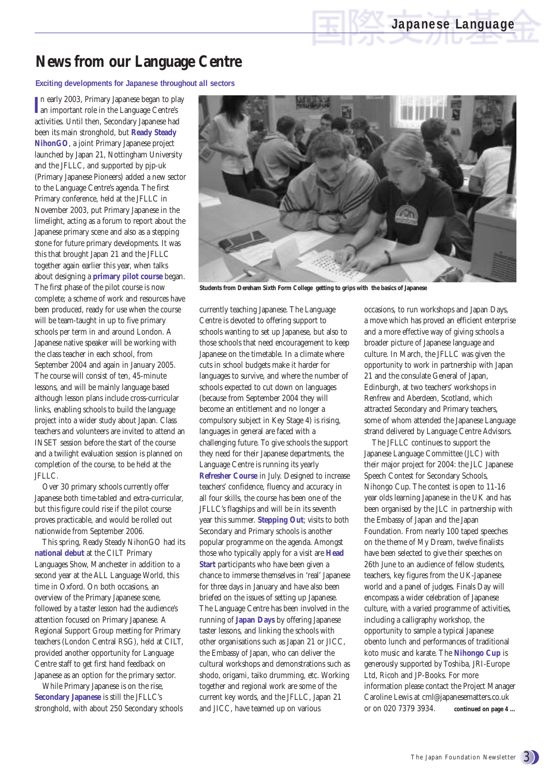# **News from our Language Centre**

**Exciting developments for Japanese throughout all sectors**

**I** an important role in the Language Centre's n early 2003, Primary Japanese began to play activities. Until then, Secondary Japanese had been its main stronghold, but **Ready Steady NihonGO**, a joint Primary Japanese project launched by Japan 21, Nottingham University and the JFLLC, and supported by pjp-uk (Primary Japanese Pioneers) added a new sector to the Language Centre's agenda. The first Primary conference, held at the JFLLC in November 2003, put Primary Japanese in the limelight, acting as a forum to report about the Japanese primary scene and also as a stepping stone for future primary developments. It was this that brought Japan 21 and the JFLLC together again earlier this year, when talks about designing a **primary pilot course** began. The first phase of the pilot course is now complete; a scheme of work and resources have been produced, ready for use when the course will be team-taught in up to five primary schools per term in and around London. A Japanese native speaker will be working with the class teacher in each school, from September 2004 and again in January 2005. The course will consist of ten, 45-minute lessons, and will be mainly language based although lesson plans include cross-curricular links, enabling schools to build the language project into a wider study about Japan. Class teachers and volunteers are invited to attend an INSET session before the start of the course and a twilight evaluation session is planned on completion of the course, to be held at the JFLLC.

Over 30 primary schools currently offer Japanese both time-tabled and extra-curricular, but this figure could rise if the pilot course proves practicable, and would be rolled out nationwide from September 2006.

This spring, Ready Steady NihonGO had its **national debut** at the CILT Primary Languages Show, Manchester in addition to a second year at the ALL Language World, this time in Oxford. On both occasions, an overview of the Primary Japanese scene, followed by a taster lesson had the audience's attention focused on Primary Japanese. A Regional Support Group meeting for Primary teachers (London Central RSG), held at CILT, provided another opportunity for Language Centre staff to get first hand feedback on Japanese as an option for the primary sector.

While Primary Japanese is on the rise, **Secondary Japanese** is still the JFLLC's stronghold, with about 250 Secondary schools



**Students from Dereham Sixth Form College getting to grips with the basics of Japanese**

currently teaching Japanese. The Language Centre is devoted to offering support to schools wanting to set up Japanese, but also to those schools that need encouragement to keep Japanese on the timetable. In a climate where cuts in school budgets make it harder for languages to survive, and where the number of schools expected to cut down on languages (because from September 2004 they will become an entitlement and no longer a compulsory subject in Key Stage 4) is rising, languages in general are faced with a challenging future. To give schools the support they need for their Japanese departments, the Language Centre is running its yearly **Refresher Course** in July. Designed to increase teachers' confidence, fluency and accuracy in all four skills, the course has been one of the JFLLC's flagships and will be in its seventh year this summer. **Stepping Out**; visits to both Secondary and Primary schools is another popular programme on the agenda. Amongst those who typically apply for a visit are **Head Start** participants who have been given a chance to immerse themselves in 'real' Japanese for three days in January and have also been briefed on the issues of setting up Japanese. The Language Centre has been involved in the running of **Japan Days** by offering Japanese taster lessons, and linking the schools with other organisations such as Japan 21 or JICC, the Embassy of Japan, who can deliver the cultural workshops and demonstrations such as shodo, origami, taiko drumming, etc. Working together and regional work are some of the current key words, and the JFLLC, Japan 21 and JICC, have teamed up on various

occasions, to run workshops and Japan Days, a move which has proved an efficient enterprise and a more effective way of giving schools a broader picture of Japanese language and culture. In March, the JFLLC was given the opportunity to work in partnership with Japan 21 and the consulate General of Japan, Edinburgh, at two teachers' workshops in Renfrew and Aberdeen, Scotland, which attracted Secondary and Primary teachers, some of whom attended the Japanese Language strand delivered by Language Centre Advisors.

The JFLLC continues to support the Japanese Language Committee (JLC) with their major project for 2004: the JLC Japanese Speech Contest for Secondary Schools, Nihongo Cup. The contest is open to 11-16 year olds learning Japanese in the UK and has been organised by the JLC in partnership with the Embassy of Japan and the Japan Foundation. From nearly 100 taped speeches on the theme of My Dream, twelve finalists have been selected to give their speeches on 26th June to an audience of fellow students, teachers, key figures from the UK-Japanese world and a panel of judges. Finals Day will encompass a wider celebration of Japanese culture, with a varied programme of activities, including a calligraphy workshop, the opportunity to sample a typical Japanese obento lunch and performances of traditional koto music and karate. The **Nihongo Cup** is generously supported by Toshiba, JRI-Europe Ltd, Ricoh and JP-Books. For more information please contact the Project Manager Caroline Lewis at cml@japanesematters.co.uk or on 020 7379 3934. **continued on page 4 ...**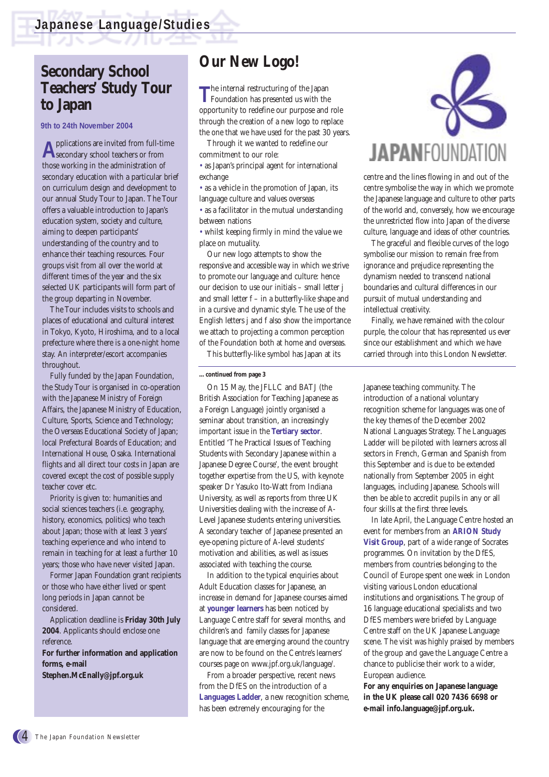## **Secondary School Teachers' Study Tour to Japan**

**9th to 24th November 2004**

**A**pplications are invited from full-time secondary school teachers or from those working in the administration of secondary education with a particular brief on curriculum design and development to our annual Study Tour to Japan. The Tour offers a valuable introduction to Japan's education system, society and culture, aiming to deepen participants' understanding of the country and to enhance their teaching resources. Four groups visit from all over the world at different times of the year and the six selected UK participants will form part of the group departing in November.

The Tour includes visits to schools and places of educational and cultural interest in Tokyo, Kyoto, Hiroshima, and to a local prefecture where there is a one-night home stay. An interpreter/escort accompanies throughout.

Fully funded by the Japan Foundation, the Study Tour is organised in co-operation with the Japanese Ministry of Foreign Affairs, the Japanese Ministry of Education, Culture, Sports, Science and Technology; the Overseas Educational Society of Japan; local Prefectural Boards of Education; and International House, Osaka. International flights and all direct tour costs in Japan are covered except the cost of possible supply teacher cover etc.

Priority is given to: humanities and social sciences teachers (i.e. geography, history, economics, politics) who teach about Japan; those with at least 3 years' teaching experience and who intend to remain in teaching for at least a further 10 years; those who have never visited Japan.

Former Japan Foundation grant recipients or those who have either lived or spent long periods in Japan cannot be considered.

Application deadline is **Friday 30th July 2004**. Applicants should enclose one reference.

**For further information and application forms, e-mail**

**Stephen.McEnally@jpf.org.uk** 

# **Our New Logo!**

The internal restructuring of the Japan<br>Foundation has presented us with the opportunity to redefine our purpose and role through the creation of a new logo to replace the one that we have used for the past 30 years.

Through it we wanted to redefine our commitment to our role:

• as Japan's principal agent for international exchange

• as a vehicle in the promotion of Japan, its language culture and values overseas • as a facilitator in the mutual understanding between nations

• whilst keeping firmly in mind the value we place on mutuality.

Our new logo attempts to show the responsive and accessible way in which we strive to promote our language and culture: hence our decision to use our initials – small letter j and small letter f – in a butterfly-like shape and in a cursive and dynamic style. The use of the English letters j and f also show the importance we attach to projecting a common perception of the Foundation both at home and overseas.

This butterfly-like symbol has Japan at its

#### **…continued from page 3**

On 15 May, the JFLLC and BATJ (the British Association for Teaching Japanese as a Foreign Language) jointly organised a seminar about transition, an increasingly important issue in the **Tertiary sector**. Entitled 'The Practical Issues of Teaching Students with Secondary Japanese within a Japanese Degree Course', the event brought together expertise from the US, with keynote speaker Dr Yasuko Ito-Watt from Indiana University, as well as reports from three UK Universities dealing with the increase of A-Level Japanese students entering universities. A secondary teacher of Japanese presented an eye-opening picture of A-level students' motivation and abilities, as well as issues associated with teaching the course.

In addition to the typical enquiries about Adult Education classes for Japanese, an increase in demand for Japanese courses aimed at **younger learners** has been noticed by Language Centre staff for several months, and children's and family classes for Japanese language that are emerging around the country are now to be found on the Centre's learners' courses page on www.jpf.org.uk/language/.

From a broader perspective, recent news from the DfES on the introduction of a **Languages Ladder**, a new recognition scheme, has been extremely encouraging for the



centre and the lines flowing in and out of the centre symbolise the way in which we promote the Japanese language and culture to other parts of the world and, conversely, how we encourage the unrestricted flow into Japan of the diverse culture, language and ideas of other countries.

The graceful and flexible curves of the logo symbolise our mission to remain free from ignorance and prejudice representing the dynamism needed to transcend national boundaries and cultural differences in our pursuit of mutual understanding and intellectual creativity.

Finally, we have remained with the colour purple, the colour that has represented us ever since our establishment and which we have carried through into this London Newsletter.

Japanese teaching community. The introduction of a national voluntary recognition scheme for languages was one of the key themes of the December 2002 National Languages Strategy. The Languages Ladder will be piloted with learners across all sectors in French, German and Spanish from this September and is due to be extended nationally from September 2005 in eight languages, including Japanese. Schools will then be able to accredit pupils in any or all four skills at the first three levels.

In late April, the Language Centre hosted an event for members from an **ARION Study Visit Group**, part of a wide range of Socrates programmes. On invitation by the DfES, members from countries belonging to the Council of Europe spent one week in London visiting various London educational institutions and organisations. The group of 16 language educational specialists and two DfES members were briefed by Language Centre staff on the UK Japanese Language scene. The visit was highly praised by members of the group and gave the Language Centre a chance to publicise their work to a wider, European audience.

**For any enquiries on Japanese language in the UK please call 020 7436 6698 or e-mail info.language@jpf.org.uk.**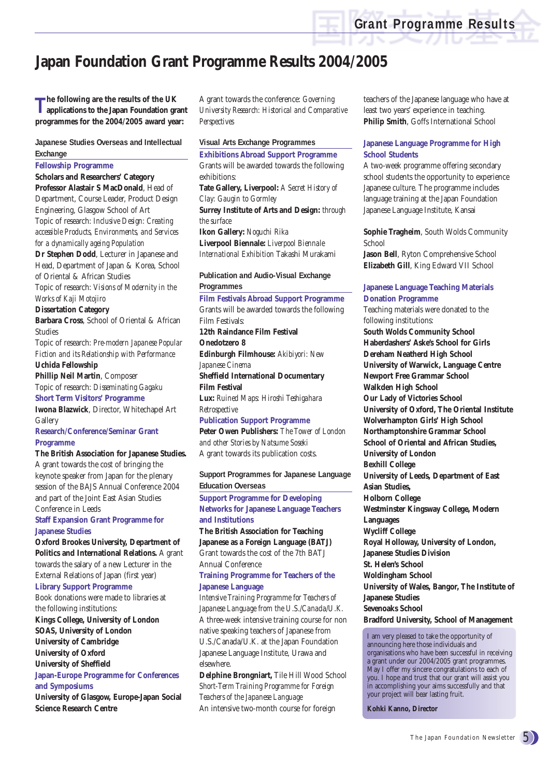# **Japan Foundation Grant Programme Results 2004/2005**

**The following are the results of the UK applications to the Japan Foundation grant programmes for the 2004/2005 award year:**

**Japanese Studies Overseas and Intellectual Exchange**

#### **Fellowship Programme**

**Scholars and Researchers' Category Professor Alastair S MacDonald**, Head of Department, Course Leader, Product Design Engineering, Glasgow School of Art Topic of research: *Inclusive Design: Creating accessible Products, Environments, and Services for a dynamically ageing Population*

**Dr Stephen Dodd**, Lecturer in Japanese and Head, Department of Japan & Korea, School of Oriental & African Studies

Topic of research: *Visions of Modernity in the Works of Kaji Motojiro*

#### **Dissertation Category**

**Barbara Cross**, School of Oriental & African Studies

Topic of research: *Pre-modern Japanese Popular Fiction and its Relationship with Performance* **Uchida Fellowship**

**Phillip Neil Martin**, Composer Topic of research: *Disseminating Gagaku* **Short Term Visitors' Programme**

**Iwona Blazwick**, Director, Whitechapel Art **Gallery** 

**Research/Conference/Seminar Grant Programme**

#### **The British Association for Japanese Studies.**

A grant towards the cost of bringing the keynote speaker from Japan for the plenary session of the BAJS Annual Conference 2004 and part of the Joint East Asian Studies Conference in Leeds

#### **Staff Expansion Grant Programme for Japanese Studies**

**Oxford Brookes University, Department of Politics and International Relations.** A grant towards the salary of a new Lecturer in the External Relations of Japan (first year)

#### **Library Support Programme**

Book donations were made to libraries at the following institutions:

**Kings College, University of London SOAS, University of London University of Cambridge University of Oxford University of Sheffield**

#### **Japan-Europe Programme for Conferences and Symposiums**

**University of Glasgow, Europe-Japan Social Science Research Centre**

A grant towards the conference: *Governing University Research: Historical and Comparative Perspectives*

#### **Visual Arts Exchange Programmes**

**Exhibitions Abroad Support Programme** Grants will be awarded towards the following exhibitions:

**Tate Gallery, Liverpool:** *A Secret History of Clay: Gaugin to Gormley* **Surrey Institute of Arts and Design:** *through the surface*

**Ikon Gallery:** *Noguchi Rika* **Liverpool Biennale:** *Liverpool Biennale International Exhibition* Takashi Murakami

**Publication and Audio-Visual Exchange**

**Programmes**

## **Film Festivals Abroad Support Programme**

Grants will be awarded towards the following Film Festivals: **12th Raindance Film Festival Onedotzero 8 Edinburgh Filmhouse:** *Akibiyori: New*

*Japanese Cinema* **Sheffield International Documentary Film Festival Lux:** *Ruined Maps: Hiroshi Teshigahara Retrospective*

**Publication Support Programme Peter Owen Publishers:** *The Tower of London and other Stories by Natsume Soseki*

A grant towards its publication costs.

**Support Programmes for Japanese Language Education Overseas Support Programme for Developing Networks for Japanese Language Teachers**

**and Institutions The British Association for Teaching Japanese as a Foreign Language (BATJ)**

Grant towards the cost of the 7th BATJ Annual Conference

#### **Training Programme for Teachers of the Japanese Language**

*Intensive Training Programme for Teachers of Japanese Language from the U.S./Canada/U.K.* A three-week intensive training course for non native speaking teachers of Japanese from U.S./Canada/U.K. at the Japan Foundation Japanese Language Institute, Urawa and elsewhere.

**Delphine Brongniart,** Tile Hill Wood School *Short-Term Training Programme for Foreign Teachers of the Japanese Language* An intensive two-month course for foreign

teachers of the Japanese language who have at least two years' experience in teaching. **Philip Smith**, Goffs International School

#### **Japanese Language Programme for High School Students**

A two-week programme offering secondary school students the opportunity to experience Japanese culture. The programme includes language training at the Japan Foundation Japanese Language Institute, Kansai

**Sophie Tragheim**, South Wolds Community School

**Jason Bell**, Ryton Comprehensive School **Elizabeth Gill**, King Edward VII School

#### **Japanese Language Teaching Materials Donation Programme**

Teaching materials were donated to the following institutions: **South Wolds Community School Haberdashers' Aske's School for Girls Dereham Neatherd High School University of Warwick, Language Centre Newport Free Grammar School Walkden High School Our Lady of Victories School University of Oxford, The Oriental Institute Wolverhampton Girls' High School Northamptonshire Grammar School School of Oriental and African Studies, University of London Bexhill College University of Leeds, Department of East Asian Studies, Holborn College Westminster Kingsway College, Modern Languages Wycliff College Royal Holloway, University of London, Japanese Studies Division St. Helen's School Woldingham School University of Wales, Bangor, The Institute of Japanese Studies Sevenoaks School Bradford University, School of Management**

I am very pleased to take the opportunity of announcing here those individuals and organisations who have been successful in receiving a grant under our 2004/2005 grant programmes. May I offer my sincere congratulations to each of you. I hope and trust that our grant will assist you in accomplishing your aims successfully and that your project will bear lasting fruit.

**Kohki Kanno, Director**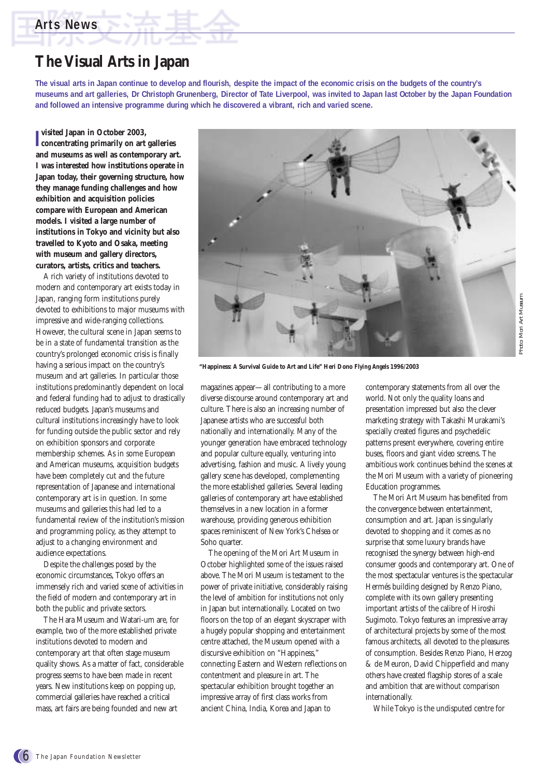## **Arts News**

## **The Visual Arts in Japan**

**The visual arts in Japan continue to develop and flourish, despite the impact of the economic crisis on the budgets of the country's museums and art galleries, Dr Christoph Grunenberg, Director of Tate Liverpool, was invited to Japan last October by the Japan Foundation and followed an intensive programme during which he discovered a vibrant, rich and varied scene.**

**I concentrating primarily on art galleries visited Japan in October 2003, and museums as well as contemporary art. I was interested how institutions operate in Japan today, their governing structure, how they manage funding challenges and how exhibition and acquisition policies compare with European and American models. I visited a large number of institutions in Tokyo and vicinity but also travelled to Kyoto and Osaka, meeting with museum and gallery directors, curators, artists, critics and teachers.** 

A rich variety of institutions devoted to modern and contemporary art exists today in Japan, ranging form institutions purely devoted to exhibitions to major museums with impressive and wide-ranging collections. However, the cultural scene in Japan seems to be in a state of fundamental transition as the country's prolonged economic crisis is finally having a serious impact on the country's museum and art galleries. In particular those institutions predominantly dependent on local and federal funding had to adjust to drastically reduced budgets. Japan's museums and cultural institutions increasingly have to look for funding outside the public sector and rely on exhibition sponsors and corporate membership schemes. As in some European and American museums, acquisition budgets have been completely cut and the future representation of Japanese and international contemporary art is in question. In some museums and galleries this had led to a fundamental review of the institution's mission and programming policy, as they attempt to adjust to a changing environment and audience expectations.

Despite the challenges posed by the economic circumstances, Tokyo offers an immensely rich and varied scene of activities in the field of modern and contemporary art in both the public and private sectors.

The Hara Museum and Watari-um are, for example, two of the more established private institutions devoted to modern and contemporary art that often stage museum quality shows. As a matter of fact, considerable progress seems to have been made in recent years. New institutions keep on popping up, commercial galleries have reached a critical mass, art fairs are being founded and new art



**"Happiness: A Survival Guide to Art and Life" Heri Dono** *Flying Angels* **1996/2003**

magazines appear—all contributing to a more diverse discourse around contemporary art and culture. There is also an increasing number of Japanese artists who are successful both nationally and internationally. Many of the younger generation have embraced technology and popular culture equally, venturing into advertising, fashion and music. A lively young gallery scene has developed, complementing the more established galleries. Several leading galleries of contemporary art have established themselves in a new location in a former warehouse, providing generous exhibition spaces reminiscent of New York's Chelsea or Soho quarter.

The opening of the Mori Art Museum in October highlighted some of the issues raised above. The Mori Museum is testament to the power of private initiative, considerably raising the level of ambition for institutions not only in Japan but internationally. Located on two floors on the top of an elegant skyscraper with a hugely popular shopping and entertainment centre attached, the Museum opened with a discursive exhibition on "Happiness," connecting Eastern and Western reflections on contentment and pleasure in art. The spectacular exhibition brought together an impressive array of first class works from ancient China, India, Korea and Japan to

contemporary statements from all over the world. Not only the quality loans and presentation impressed but also the clever marketing strategy with Takashi Murakami's specially created figures and psychedelic patterns present everywhere, covering entire buses, floors and giant video screens. The ambitious work continues behind the scenes at the Mori Museum with a variety of pioneering Education programmes.

The Mori Art Museum has benefited from the convergence between entertainment, consumption and art. Japan is singularly devoted to shopping and it comes as no surprise that some luxury brands have recognised the synergy between high-end consumer goods and contemporary art. One of the most spectacular ventures is the spectacular Hermés building designed by Renzo Piano, complete with its own gallery presenting important artists of the calibre of Hiroshi Sugimoto. Tokyo features an impressive array of architectural projects by some of the most famous architects, all devoted to the pleasures of consumption. Besides Renzo Piano, Herzog & de Meuron, David Chipperfield and many others have created flagship stores of a scale and ambition that are without comparison internationally.

While Tokyo is the undisputed centre for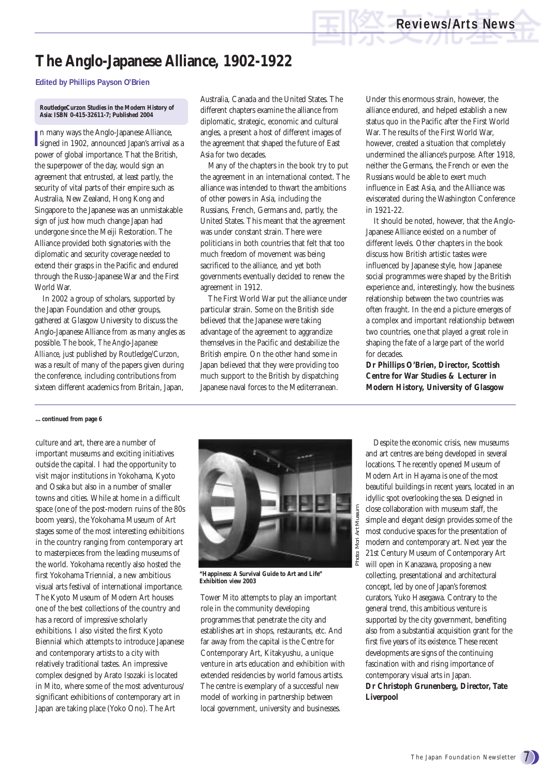# **The Anglo-Japanese Alliance, 1902-1922**

#### **Edited by Phillips Payson O'Brien**

#### **RoutledgeCurzon Studies in the Modern History of Asia: ISBN 0-415-32611-7; Published 2004**

In many ways the Anglo-Japanese Alliance,<br>signed in 1902, announced Japan's arrival as a n many ways the Anglo-Japanese Alliance, power of global importance. That the British, the superpower of the day, would sign an agreement that entrusted, at least partly, the security of vital parts of their empire such as Australia, New Zealand, Hong Kong and Singapore to the Japanese was an unmistakable sign of just how much change Japan had undergone since the Meiji Restoration. The Alliance provided both signatories with the diplomatic and security coverage needed to extend their grasps in the Pacific and endured through the Russo-Japanese War and the First World War.

In 2002 a group of scholars, supported by the Japan Foundation and other groups, gathered at Glasgow University to discuss the Anglo-Japanese Alliance from as many angles as possible. The book, *The Anglo-Japanese Alliance*, just published by Routledge/Curzon, was a result of many of the papers given during the conference, including contributions from sixteen different academics from Britain, Japan,

Australia, Canada and the United States. The different chapters examine the alliance from diplomatic, strategic, economic and cultural angles, a present a host of different images of the agreement that shaped the future of East Asia for two decades.

Many of the chapters in the book try to put the agreement in an international context. The alliance was intended to thwart the ambitions of other powers in Asia, including the Russians, French, Germans and, partly, the United States. This meant that the agreement was under constant strain. There were politicians in both countries that felt that too much freedom of movement was being sacrificed to the alliance, and yet both governments eventually decided to renew the agreement in 1912.

The First World War put the alliance under particular strain. Some on the British side believed that the Japanese were taking advantage of the agreement to aggrandize themselves in the Pacific and destabilize the British empire. On the other hand some in Japan believed that they were providing too much support to the British by dispatching Japanese naval forces to the Mediterranean.

Under this enormous strain, however, the alliance endured, and helped establish a new status quo in the Pacific after the First World War. The results of the First World War, however, created a situation that completely undermined the alliance's purpose. After 1918, neither the Germans, the French or even the Russians would be able to exert much influence in East Asia, and the Alliance was eviscerated during the Washington Conference in 1921-22.

It should be noted, however, that the Anglo-Japanese Alliance existed on a number of different levels. Other chapters in the book discuss how British artistic tastes were influenced by Japanese style, how Japanese social programmes were shaped by the British experience and, interestingly, how the business relationship between the two countries was often fraught. In the end a picture emerges of a complex and important relationship between two countries, one that played a great role in shaping the fate of a large part of the world for decades.

**Dr Phillips O'Brien, Director, Scottish Centre for War Studies & Lecturer in Modern History, University of Glasgow** 

#### **…continued from page 6**

culture and art, there are a number of important museums and exciting initiatives outside the capital. I had the opportunity to visit major institutions in Yokohama, Kyoto and Osaka but also in a number of smaller towns and cities. While at home in a difficult space (one of the post-modern ruins of the 80s boom years), the Yokohama Museum of Art stages some of the most interesting exhibitions in the country ranging from contemporary art to masterpieces from the leading museums of the world. Yokohama recently also hosted the first Yokohama Triennial, a new ambitious visual arts festival of international importance. The Kyoto Museum of Modern Art houses one of the best collections of the country and has a record of impressive scholarly exhibitions. I also visited the first Kyoto Biennial which attempts to introduce Japanese and contemporary artists to a city with relatively traditional tastes. An impressive complex designed by Arato Isozaki is located in Mito, where some of the most adventurous/ significant exhibitions of contemporary art in Japan are taking place (Yoko Ono). The Art



**"Happiness: A Survival Guide to Art and Life" Exhibition view 2003**

Tower Mito attempts to play an important role in the community developing programmes that penetrate the city and establishes art in shops, restaurants, etc. And far away from the capital is the Centre for Contemporary Art, Kitakyushu, a unique venture in arts education and exhibition with extended residencies by world famous artists. The centre is exemplary of a successful new model of working in partnership between local government, university and businesses.

Despite the economic crisis, new museums and art centres are being developed in several locations. The recently opened Museum of Modern Art in Hayama is one of the most beautiful buildings in recent years, located in an idyllic spot overlooking the sea. Designed in close collaboration with museum staff, the simple and elegant design provides some of the most conducive spaces for the presentation of modern and contemporary art. Next year the 21st Century Museum of Contemporary Art will open in Kanazawa, proposing a new collecting, presentational and architectural concept, led by one of Japan's foremost curators, Yuko Hasegawa. Contrary to the general trend, this ambitious venture is supported by the city government, benefiting also from a substantial acquisition grant for the first five years of its existence. These recent developments are signs of the continuing fascination with and rising importance of contemporary visual arts in Japan. **Dr Christoph Grunenberg, Director, Tate Liverpool**